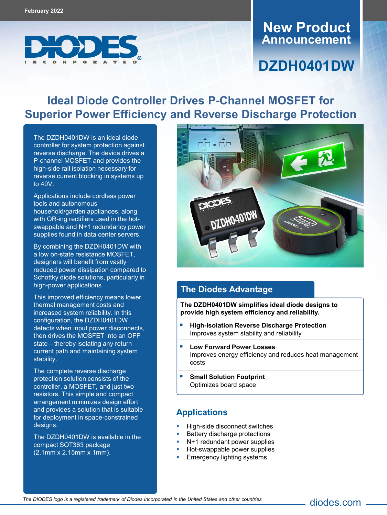

# **Announcement New Product**

# **DZDH0401DW**

## **Ideal Diode Controller Drives P-Channel MOSFET for Superior Power Efficiency and Reverse Discharge Protection**

The [DZDH0401DW](https://www.diodes.com/part/DZDH0401DW) is an ideal diode controller for system protection against reverse discharge. The device drives a P-channel MOSFET and provides the high-side rail isolation necessary for reverse current blocking in systems up to 40V.

Applications include cordless power tools and autonomous household/garden appliances, along with OR-ing rectifiers used in the hotswappable and N+1 redundancy power supplies found in data center servers.

By combining the DZDH0401DW with a low on-state resistance MOSFET, designers will benefit from vastly reduced power dissipation compared to Schottky diode solutions, particularly in high-power applications.

This improved efficiency means lower thermal management costs and increased system reliability. In this configuration, the DZDH0401DW detects when input power disconnects, then drives the MOSFET into an OFF state—thereby isolating any return current path and maintaining system stability.

The complete reverse discharge protection solution consists of the controller, a MOSFET, and just two resistors. This simple and compact arrangement minimizes design effort and provides a solution that is suitable for deployment in space-constrained designs.

The DZDH0401DW is available in the compact SOT363 package (2.1mm x 2.15mm x 1mm).



#### **The Diodes Advantage**

**The DZDH0401DW simplifies ideal diode designs to provide high system efficiency and reliability.**

- **High-Isolation Reverse Discharge Protection** Improves system stability and reliability
- **Low Forward Power Losses** Improves energy efficiency and reduces heat management costs

diodes.com

 **Small Solution Footprint** Optimizes board space

#### **Applications**

- High-side disconnect switches
- Battery discharge protections
- N+1 redundant power supplies
- Hot-swappable power supplies
- Emergency lighting systems

*The DIODES logo is a registered trademark of Diodes Incorporated in the United States and other countries*